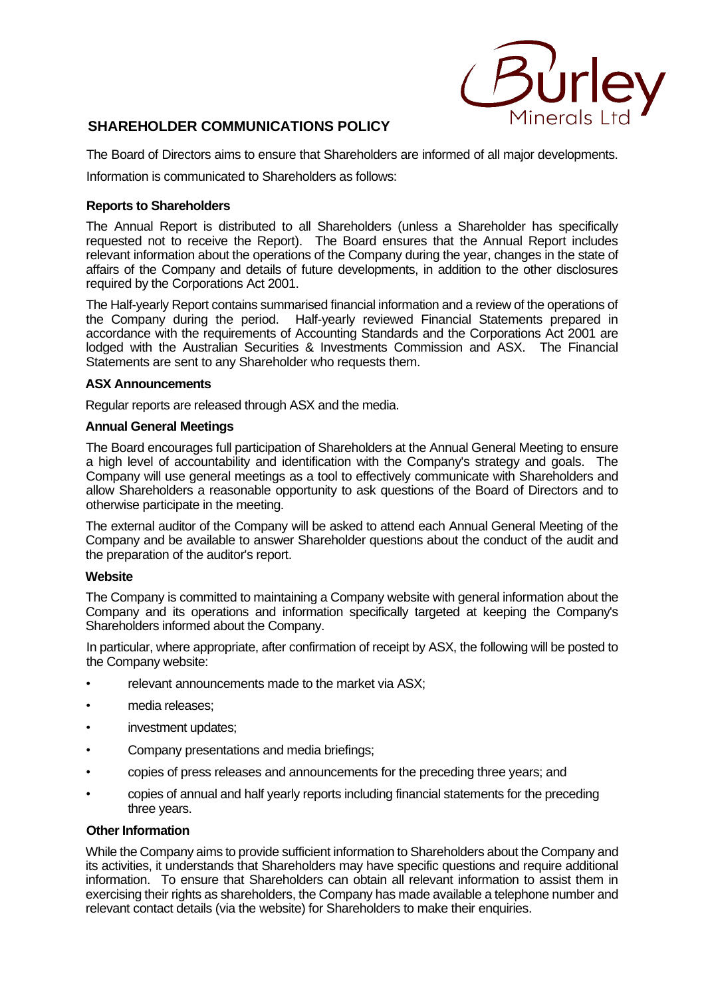

# **SHAREHOLDER COMMUNICATIONS POLICY**

The Board of Directors aims to ensure that Shareholders are informed of all major developments.

Information is communicated to Shareholders as follows:

## **Reports to Shareholders**

The Annual Report is distributed to all Shareholders (unless a Shareholder has specifically requested not to receive the Report). The Board ensures that the Annual Report includes relevant information about the operations of the Company during the year, changes in the state of affairs of the Company and details of future developments, in addition to the other disclosures required by the Corporations Act 2001.

The Half-yearly Report contains summarised financial information and a review of the operations of the Company during the period. Half-yearly reviewed Financial Statements prepared in accordance with the requirements of Accounting Standards and the Corporations Act 2001 are lodged with the Australian Securities & Investments Commission and ASX. The Financial Statements are sent to any Shareholder who requests them.

## **ASX Announcements**

Regular reports are released through ASX and the media.

### **Annual General Meetings**

The Board encourages full participation of Shareholders at the Annual General Meeting to ensure a high level of accountability and identification with the Company's strategy and goals. The Company will use general meetings as a tool to effectively communicate with Shareholders and allow Shareholders a reasonable opportunity to ask questions of the Board of Directors and to otherwise participate in the meeting.

The external auditor of the Company will be asked to attend each Annual General Meeting of the Company and be available to answer Shareholder questions about the conduct of the audit and the preparation of the auditor's report.

#### **Website**

The Company is committed to maintaining a Company website with general information about the Company and its operations and information specifically targeted at keeping the Company's Shareholders informed about the Company.

In particular, where appropriate, after confirmation of receipt by ASX, the following will be posted to the Company website:

- relevant announcements made to the market via ASX;
- media releases;
- investment updates;
- Company presentations and media briefings;
- copies of press releases and announcements for the preceding three years; and
- copies of annual and half yearly reports including financial statements for the preceding three years.

#### **Other Information**

While the Company aims to provide sufficient information to Shareholders about the Company and its activities, it understands that Shareholders may have specific questions and require additional information. To ensure that Shareholders can obtain all relevant information to assist them in exercising their rights as shareholders, the Company has made available a telephone number and relevant contact details (via the website) for Shareholders to make their enquiries.